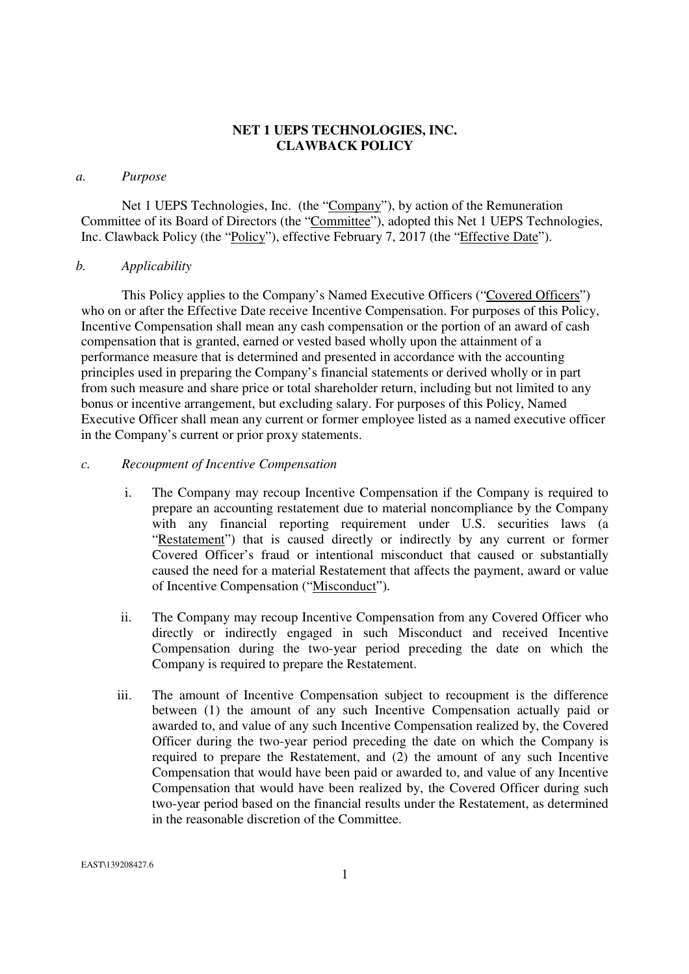### **NET 1 UEPS TECHNOLOGIES, INC. CLAWBACK POLICY**

#### *a. Purpose*

Net 1 UEPS Technologies, Inc. (the "Company"), by action of the Remuneration Committee of its Board of Directors (the "Committee"), adopted this Net 1 UEPS Technologies, Inc. Clawback Policy (the "Policy"), effective February 7, 2017 (the "Effective Date").

### *b. Applicability*

This Policy applies to the Company's Named Executive Officers ("Covered Officers") who on or after the Effective Date receive Incentive Compensation. For purposes of this Policy, Incentive Compensation shall mean any cash compensation or the portion of an award of cash compensation that is granted, earned or vested based wholly upon the attainment of a performance measure that is determined and presented in accordance with the accounting principles used in preparing the Company's financial statements or derived wholly or in part from such measure and share price or total shareholder return, including but not limited to any bonus or incentive arrangement, but excluding salary. For purposes of this Policy, Named Executive Officer shall mean any current or former employee listed as a named executive officer in the Company's current or prior proxy statements.

### *c. Recoupment of Incentive Compensation*

- i. The Company may recoup Incentive Compensation if the Company is required to prepare an accounting restatement due to material noncompliance by the Company with any financial reporting requirement under U.S. securities laws (a "Restatement") that is caused directly or indirectly by any current or former Covered Officer's fraud or intentional misconduct that caused or substantially caused the need for a material Restatement that affects the payment, award or value of Incentive Compensation ("Misconduct").
- ii. The Company may recoup Incentive Compensation from any Covered Officer who directly or indirectly engaged in such Misconduct and received Incentive Compensation during the two-year period preceding the date on which the Company is required to prepare the Restatement.
- iii. The amount of Incentive Compensation subject to recoupment is the difference between (1) the amount of any such Incentive Compensation actually paid or awarded to, and value of any such Incentive Compensation realized by, the Covered Officer during the two-year period preceding the date on which the Company is required to prepare the Restatement, and (2) the amount of any such Incentive Compensation that would have been paid or awarded to, and value of any Incentive Compensation that would have been realized by, the Covered Officer during such two-year period based on the financial results under the Restatement, as determined in the reasonable discretion of the Committee.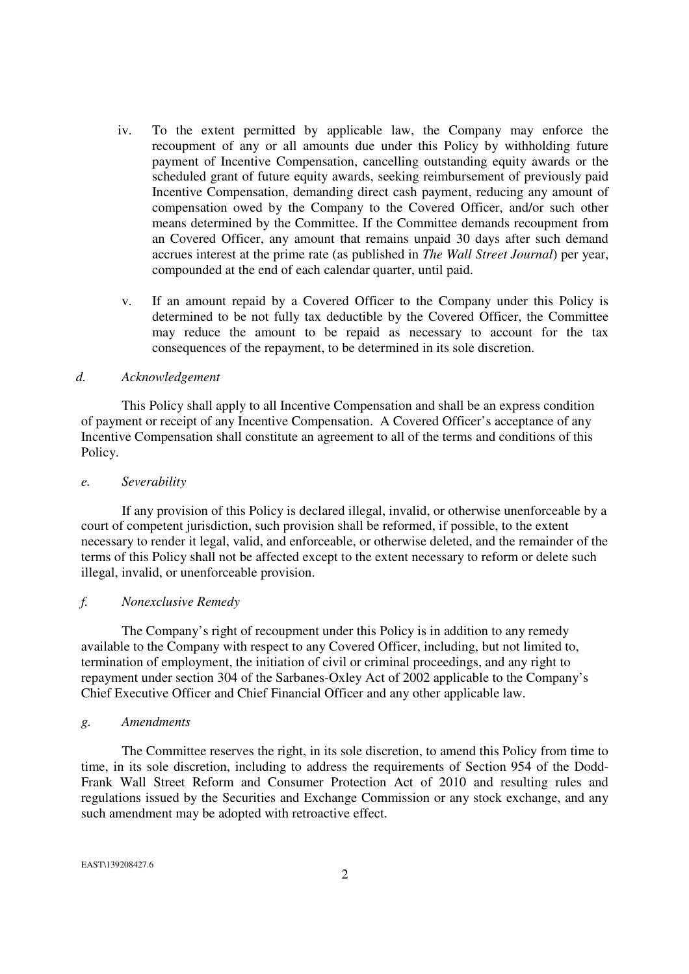- iv. To the extent permitted by applicable law, the Company may enforce the recoupment of any or all amounts due under this Policy by withholding future payment of Incentive Compensation, cancelling outstanding equity awards or the scheduled grant of future equity awards, seeking reimbursement of previously paid Incentive Compensation, demanding direct cash payment, reducing any amount of compensation owed by the Company to the Covered Officer, and/or such other means determined by the Committee. If the Committee demands recoupment from an Covered Officer, any amount that remains unpaid 30 days after such demand accrues interest at the prime rate (as published in *The Wall Street Journal*) per year, compounded at the end of each calendar quarter, until paid.
- v. If an amount repaid by a Covered Officer to the Company under this Policy is determined to be not fully tax deductible by the Covered Officer, the Committee may reduce the amount to be repaid as necessary to account for the tax consequences of the repayment, to be determined in its sole discretion.

### *d. Acknowledgement*

This Policy shall apply to all Incentive Compensation and shall be an express condition of payment or receipt of any Incentive Compensation. A Covered Officer's acceptance of any Incentive Compensation shall constitute an agreement to all of the terms and conditions of this Policy.

#### *e. Severability*

If any provision of this Policy is declared illegal, invalid, or otherwise unenforceable by a court of competent jurisdiction, such provision shall be reformed, if possible, to the extent necessary to render it legal, valid, and enforceable, or otherwise deleted, and the remainder of the terms of this Policy shall not be affected except to the extent necessary to reform or delete such illegal, invalid, or unenforceable provision.

### *f. Nonexclusive Remedy*

The Company's right of recoupment under this Policy is in addition to any remedy available to the Company with respect to any Covered Officer, including, but not limited to, termination of employment, the initiation of civil or criminal proceedings, and any right to repayment under section 304 of the Sarbanes-Oxley Act of 2002 applicable to the Company's Chief Executive Officer and Chief Financial Officer and any other applicable law.

#### *g. Amendments*

 The Committee reserves the right, in its sole discretion, to amend this Policy from time to time, in its sole discretion, including to address the requirements of Section 954 of the Dodd-Frank Wall Street Reform and Consumer Protection Act of 2010 and resulting rules and regulations issued by the Securities and Exchange Commission or any stock exchange, and any such amendment may be adopted with retroactive effect.